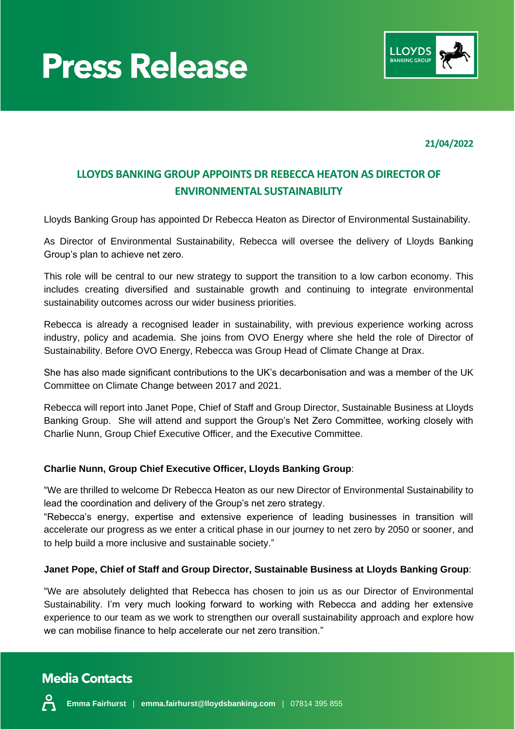



**21/04/2022**

# **LLOYDS BANKING GROUP APPOINTS DR REBECCA HEATON AS DIRECTOR OF ENVIRONMENTAL SUSTAINABILITY**

Lloyds Banking Group has appointed Dr Rebecca Heaton as Director of Environmental Sustainability.

As Director of Environmental Sustainability, Rebecca will oversee the delivery of Lloyds Banking Group's plan to achieve net zero.

This role will be central to our new strategy to support the transition to a low carbon economy. This includes creating diversified and sustainable growth and continuing to integrate environmental sustainability outcomes across our wider business priorities.

Rebecca is already a recognised leader in sustainability, with previous experience working across industry, policy and academia. She joins from OVO Energy where she held the role of Director of Sustainability. Before OVO Energy, Rebecca was Group Head of Climate Change at Drax.

She has also made significant contributions to the UK's decarbonisation and was a member of the UK Committee on Climate Change between 2017 and 2021.

Rebecca will report into Janet Pope, Chief of Staff and Group Director, Sustainable Business at Lloyds Banking Group. She will attend and support the Group's Net Zero Committee, working closely with Charlie Nunn, Group Chief Executive Officer, and the Executive Committee.

### **Charlie Nunn, Group Chief Executive Officer, Lloyds Banking Group**:

"We are thrilled to welcome Dr Rebecca Heaton as our new Director of Environmental Sustainability to lead the coordination and delivery of the Group's net zero strategy.

"Rebecca's energy, expertise and extensive experience of leading businesses in transition will accelerate our progress as we enter a critical phase in our journey to net zero by 2050 or sooner, and to help build a more inclusive and sustainable society."

#### **Janet Pope, Chief of Staff and Group Director, Sustainable Business at Lloyds Banking Group**:

"We are absolutely delighted that Rebecca has chosen to join us as our Director of Environmental Sustainability. I'm very much looking forward to working with Rebecca and adding her extensive experience to our team as we work to strengthen our overall sustainability approach and explore how we can mobilise finance to help accelerate our net zero transition."

# **Media Contacts**